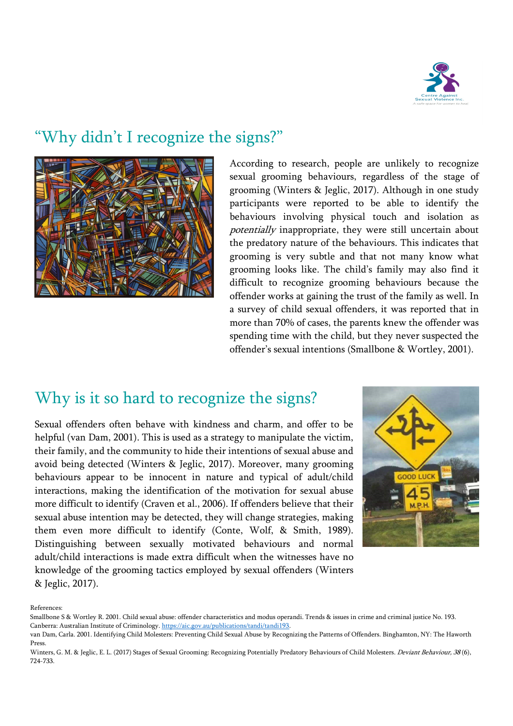

## "Why didn't I recognize the signs?"



According to research, people are unlikely to recognize sexual grooming behaviours, regardless of the stage of grooming (Winters & Jeglic, 2017). Although in one study participants were reported to be able to identify the behaviours involving physical touch and isolation as potentially inappropriate, they were still uncertain about the predatory nature of the behaviours. This indicates that grooming is very subtle and that not many know what grooming looks like. The child's family may also find it difficult to recognize grooming behaviours because the offender works at gaining the trust of the family as well. In a survey of child sexual offenders, it was reported that in more than 70% of cases, the parents knew the offender was spending time with the child, but they never suspected the offender's sexual intentions (Smallbone & Wortley, 2001).

## Why is it so hard to recognize the signs?

Sexual offenders often behave with kindness and charm, and offer to be helpful (van Dam, 2001). This is used as a strategy to manipulate the victim, their family, and the community to hide their intentions of sexual abuse and avoid being detected (Winters & Jeglic, 2017). Moreover, many grooming behaviours appear to be innocent in nature and typical of adult/child interactions, making the identification of the motivation for sexual abuse more difficult to identify (Craven et al., 2006). If offenders believe that their sexual abuse intention may be detected, they will change strategies, making them even more difficult to identify (Conte, Wolf, & Smith, 1989). Distinguishing between sexually motivated behaviours and normal adult/child interactions is made extra difficult when the witnesses have no knowledge of the grooming tactics employed by sexual offenders (Winters & Jeglic, 2017).



References:

Smallbone S & Wortley R. 2001. Child sexual abuse: offender characteristics and modus operandi. Trends & issues in crime and criminal justice No. 193. Canberra: Australian Institute of Criminology. https://aic.gov.au/publications/tandi/tandi193.

van Dam, Carla. 2001. Identifying Child Molesters: Preventing Child Sexual Abuse by Recognizing the Patterns of Offenders. Binghamton, NY: The Haworth Press.

Winters, G. M. & Jeglic, E. L. (2017) Stages of Sexual Grooming: Recognizing Potentially Predatory Behaviours of Child Molesters. Deviant Behaviour, 38 (6), 724-733.